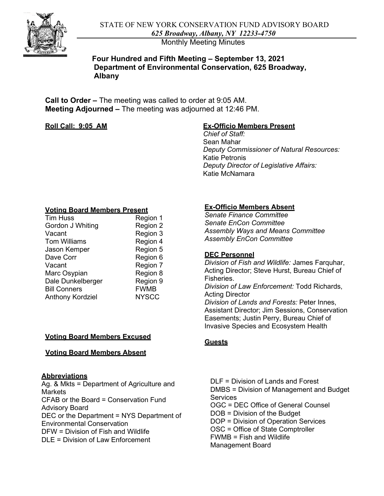

Monthly Meeting Minutes

## **Four Hundred and Fifth Meeting – September 13, 2021 Department of Environmental Conservation, 625 Broadway, Albany**

 **Call to Order –** The meeting was called to order at 9:05 AM. **Meeting Adjourned –** The meeting was adjourned at 12:46 PM.

### **Roll Call: 9:05\_AM**

## **Ex-Officio Members Present**

*Chief of Staff:*  Sean Mahar *Deputy Commissioner of Natural Resources:*  Katie Petronis *Deputy Director of Legislative Affairs:*  Katie McNamara

#### **Voting Board Members Present**

| <b>Tim Huss</b>         | Region 1     |
|-------------------------|--------------|
| Gordon J Whiting        | Region 2     |
| Vacant                  | Region 3     |
| <b>Tom Williams</b>     | Region 4     |
| Jason Kemper            | Region 5     |
| Dave Corr               | Region 6     |
| Vacant                  | Region 7     |
| Marc Osypian            | Region 8     |
| Dale Dunkelberger       | Region 9     |
| <b>Bill Conners</b>     | <b>FWMB</b>  |
| <b>Anthony Kordziel</b> | <b>NYSCC</b> |
|                         |              |

### **Voting Board Members Excused**

### **Voting Board Members Absent**

### **Abbreviations**

 Ag. & Mkts = Department of Agriculture and **Markets** CFAB or the Board = Conservation Fund Advisory Board DEC or the Department = NYS Department of Environmental Conservation DFW = Division of Fish and Wildlife DLE = Division of Law Enforcement

## **Ex-Officio Members Absent**

*Senate Finance Committee Senate EnCon Committee Assembly Ways and Means Committee Assembly EnCon Committee* 

### **DEC Personnel**

*Division of Fish and Wildlife:* James Farquhar, Acting Director; Steve Hurst, Bureau Chief of Fisheries. *Division of Law Enforcement:* Todd Richards,

Acting Director *Division of Lands and Forests:* Peter Innes, Assistant Director; Jim Sessions, Conservation Easements; Justin Perry, Bureau Chief of Invasive Species and Ecosystem Health

### **Guests**

 FWMB = Fish and Wildlife DLF = Division of Lands and Forest DMBS = Division of Management and Budget **Services** OGC = DEC Office of General Counsel DOB = Division of the Budget DOP = Division of Operation Services OSC = Office of State Comptroller Management Board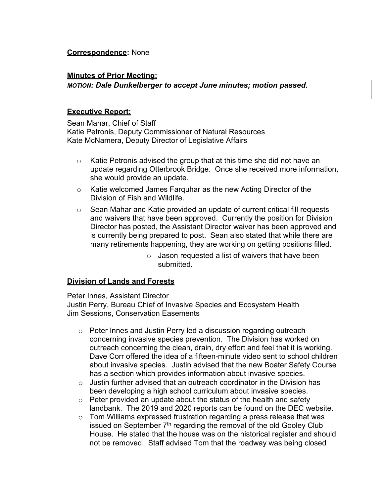# **Correspondence:** None

#### **Minutes of Prior Meeting;**

*MOTION: Dale Dunkelberger to accept June minutes; motion passed.* 

#### **Executive Report:**

 Sean Mahar, Chief of Staff Katie Petronis, Deputy Commissioner of Natural Resources Kate McNamera, Deputy Director of Legislative Affairs

- o Katie Petronis advised the group that at this time she did not have an update regarding Otterbrook Bridge. Once she received more information, she would provide an update.
- o Katie welcomed James Farquhar as the new Acting Director of the Division of Fish and Wildlife.
- is currently being prepared to post. Sean also stated that while there are  $\circ$  Sean Mahar and Katie provided an update of current critical fill requests and waivers that have been approved. Currently the position for Division Director has posted, the Assistant Director waiver has been approved and many retirements happening, they are working on getting positions filled.
	- $\circ$  Jason requested a list of waivers that have been submitted.

### **Division of Lands and Forests**

Peter Innes, Assistant Director Justin Perry, Bureau Chief of Invasive Species and Ecosystem Health Jim Sessions, Conservation Easements

- outreach concerning the clean, drain, dry effort and feel that it is working. has a section which provides information about invasive species. o Peter Innes and Justin Perry led a discussion regarding outreach concerning invasive species prevention. The Division has worked on Dave Corr offered the idea of a fifteen-minute video sent to school children about invasive species. Justin advised that the new Boater Safety Course
- $\circ$  Justin further advised that an outreach coordinator in the Division has been developing a high school curriculum about invasive species.
- $\circ$  Peter provided an update about the status of the health and safety landbank. The 2019 and 2020 reports can be found on the DEC website.
- $\circ$   $\,$  Tom Williams expressed frustration regarding a press release that was House. He stated that the house was on the historical register and should issued on September  $7<sup>th</sup>$  regarding the removal of the old Gooley Club not be removed. Staff advised Tom that the roadway was being closed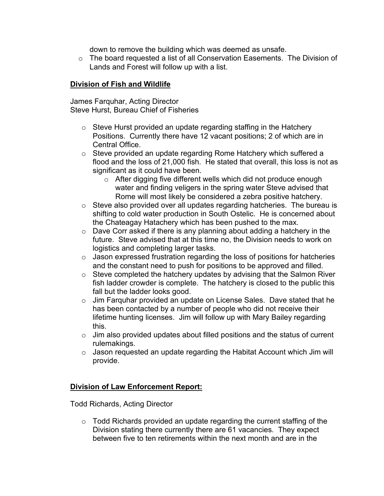down to remove the building which was deemed as unsafe.

o The board requested a list of all Conservation Easements. The Division of Lands and Forest will follow up with a list.

# **Division of Fish and Wildlife**

James Farquhar, Acting Director Steve Hurst, Bureau Chief of Fisheries

- Central Office. o Steve Hurst provided an update regarding staffing in the Hatchery Positions. Currently there have 12 vacant positions; 2 of which are in
- o Steve provided an update regarding Rome Hatchery which suffered a flood and the loss of 21,000 fish. He stated that overall, this loss is not as significant as it could have been.
	- o After digging five different wells which did not produce enough water and finding veligers in the spring water Steve advised that Rome will most likely be considered a zebra positive hatchery.
- o Steve also provided over all updates regarding hatcheries. The bureau is shifting to cold water production in South Ostelic. He is concerned about the Chateagay Hatachery which has been pushed to the max.
- o Dave Corr asked if there is any planning about adding a hatchery in the future. Steve advised that at this time no, the Division needs to work on logistics and completing larger tasks.
- $\circ$  Jason expressed frustration regarding the loss of positions for hatcheries and the constant need to push for positions to be approved and filled.
- $\circ$  Steve completed the hatchery updates by advising that the Salmon River fish ladder crowder is complete. The hatchery is closed to the public this fall but the ladder looks good.
- o Jim Farquhar provided an update on License Sales. Dave stated that he has been contacted by a number of people who did not receive their lifetime hunting licenses. Jim will follow up with Mary Bailey regarding this.
- rulemakings.  $\circ$  Jim also provided updates about filled positions and the status of current
- $\circ$  Jason requested an update regarding the Habitat Account which Jim will provide.

# **Division of Law Enforcement Report:**

Todd Richards, Acting Director

o Todd Richards provided an update regarding the current staffing of the Division stating there currently there are 61 vacancies. They expect between five to ten retirements within the next month and are in the